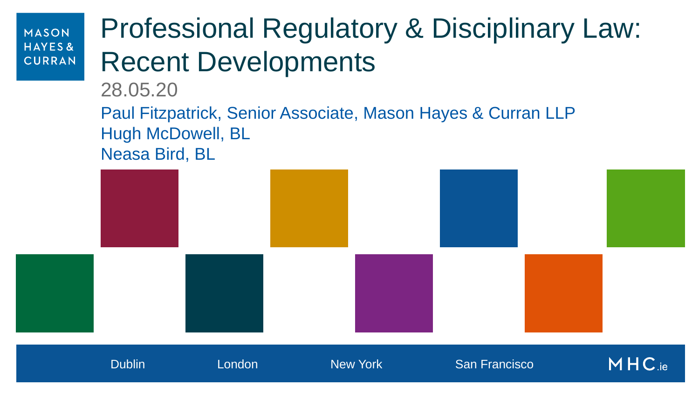# Professional Regulatory & Disciplinary Law: Recent Developments

28.05.20

Paul Fitzpatrick, Senior Associate, Mason Hayes & Curran LLP Hugh McDowell, BL Neasa Bird, BL

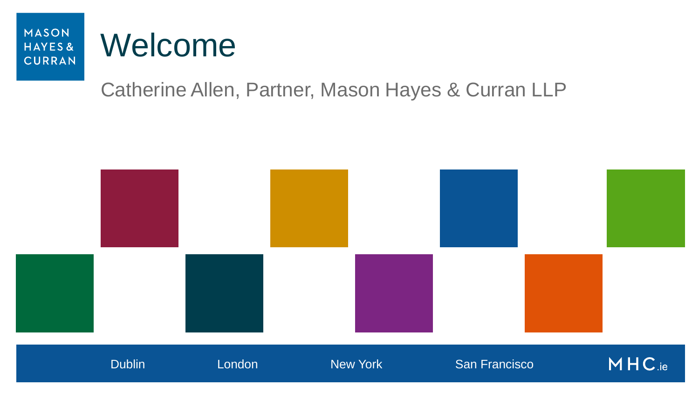# Welcome

### Catherine Allen, Partner, Mason Hayes & Curran LLP

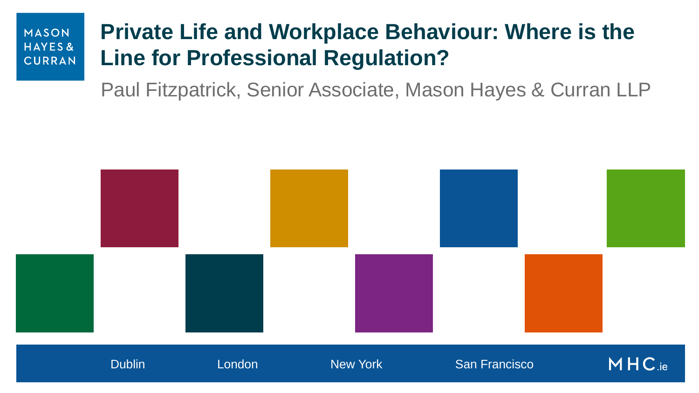### **Private Life and Workplace Behaviour: Where is the Line for Professional Regulation?**

Paul Fitzpatrick, Senior Associate, Mason Hayes & Curran LLP

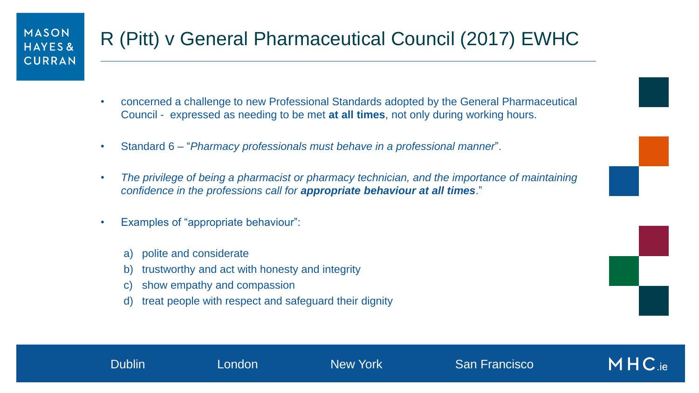### R (Pitt) v General Pharmaceutical Council (2017) EWHC

- concerned a challenge to new Professional Standards adopted by the General Pharmaceutical Council - expressed as needing to be met **at all times**, not only during working hours.
- Standard 6 "*Pharmacy professionals must behave in a professional manner*".
- *The privilege of being a pharmacist or pharmacy technician, and the importance of maintaining confidence in the professions call for appropriate behaviour at all times*."

Dublin London New York San Francisco

 $MHC$  ie

- Examples of "appropriate behaviour":
	- a) polite and considerate
	- b) trustworthy and act with honesty and integrity
	- c) show empathy and compassion
	- d) treat people with respect and safeguard their dignity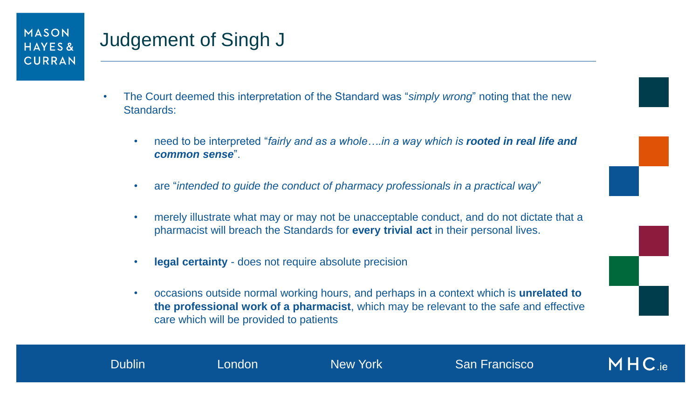### Judgement of Singh J

- The Court deemed this interpretation of the Standard was "*simply wrong*" noting that the new Standards:
	- need to be interpreted "*fairly and as a whole….in a way which is rooted in real life and common sense*".
	- are "*intended to guide the conduct of pharmacy professionals in a practical way*"
	- merely illustrate what may or may not be unacceptable conduct, and do not dictate that a pharmacist will breach the Standards for **every trivial act** in their personal lives.
	- **legal certainty** does not require absolute precision
	- occasions outside normal working hours, and perhaps in a context which is **unrelated to the professional work of a pharmacist**, which may be relevant to the safe and effective care which will be provided to patients

 $MHC_{ie}$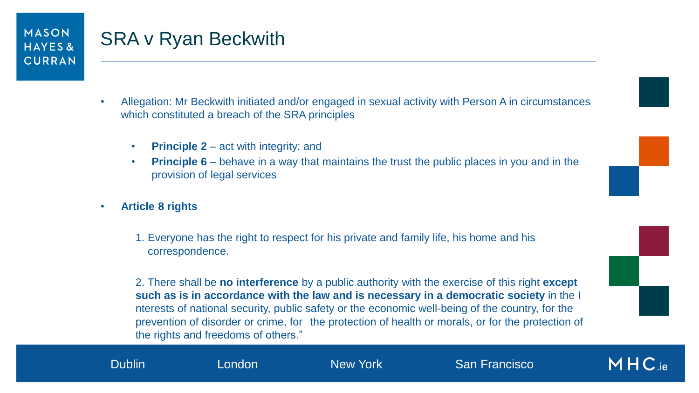### SRA v Ryan Beckwith

- Allegation: Mr Beckwith initiated and/or engaged in sexual activity with Person A in circumstances which constituted a breach of the SRA principles
	- **Principle 2** act with integrity; and
	- **Principle 6** behave in a way that maintains the trust the public places in you and in the provision of legal services
- **Article 8 rights** 
	- 1. Everyone has the right to respect for his private and family life, his home and his correspondence.

2. There shall be **no interference** by a public authority with the exercise of this right **except such as is in accordance with the law and is necessary in a democratic society** in the I nterests of national security, public safety or the economic well-being of the country, for the prevention of disorder or crime, for the protection of health or morals, or for the protection of the rights and freedoms of others."



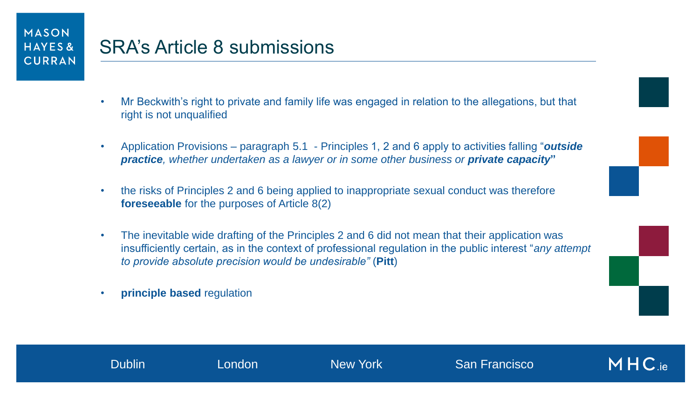- Mr Beckwith's right to private and family life was engaged in relation to the allegations, but that right is not unqualified
- Application Provisions paragraph 5.1 Principles 1, 2 and 6 apply to activities falling "*outside*  **practice**, whether undertaken as a lawyer or in some other business or **private capacity**"
- the risks of Principles 2 and 6 being applied to inappropriate sexual conduct was therefore **foreseeable** for the purposes of Article 8(2)
- The inevitable wide drafting of the Principles 2 and 6 did not mean that their application was insufficiently certain, as in the context of professional regulation in the public interest "*any attempt to provide absolute precision would be undesirable"* (**Pitt**)
- **principle based** regulation

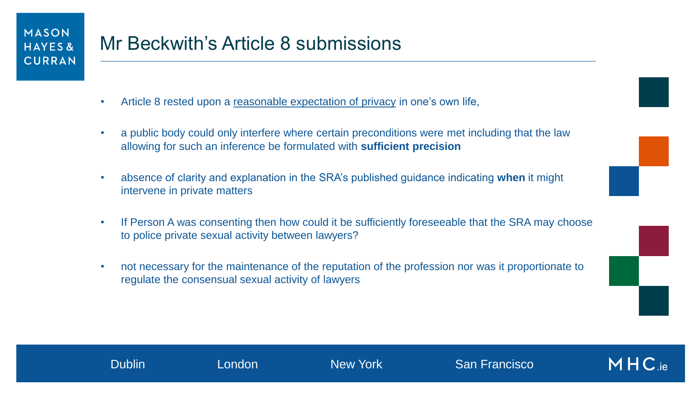- Article 8 rested upon a reasonable expectation of privacy in one's own life,
- a public body could only interfere where certain preconditions were met including that the law allowing for such an inference be formulated with **sufficient precision**
- absence of clarity and explanation in the SRA's published guidance indicating **when** it might intervene in private matters
- If Person A was consenting then how could it be sufficiently foreseeable that the SRA may choose to police private sexual activity between lawyers?
- not necessary for the maintenance of the reputation of the profession nor was it proportionate to regulate the consensual sexual activity of lawyers



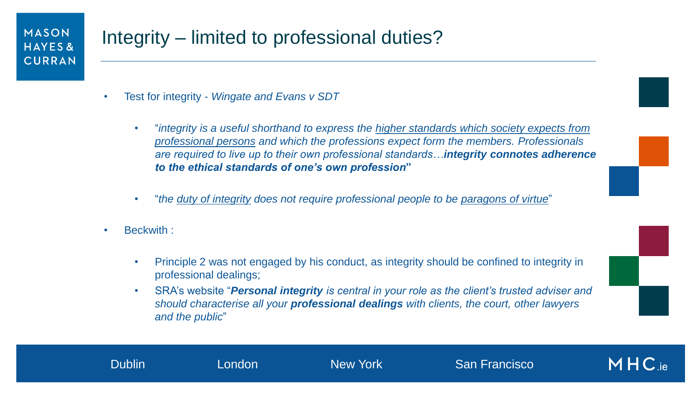### Integrity – limited to professional duties?

- Test for integrity *Wingate and Evans v SDT*
	- "*integrity is a useful shorthand to express the higher standards which society expects from professional persons and which the professions expect form the members. Professionals are required to live up to their own professional standards…integrity connotes adherence to the ethical standards of one's own profession***"**
	- "*the duty of integrity does not require professional people to be paragons of virtue*"
- Beckwith :
	- Principle 2 was not engaged by his conduct, as integrity should be confined to integrity in professional dealings;
	- SRA's website "*Personal integrity is central in your role as the client's trusted adviser and should characterise all your professional dealings with clients, the court, other lawyers and the public*"

 $MHC$  ie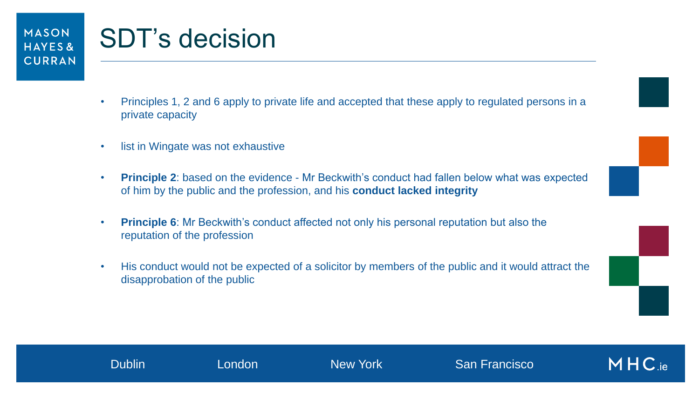## SDT's decision

- Principles 1, 2 and 6 apply to private life and accepted that these apply to regulated persons in a private capacity
- list in Wingate was not exhaustive
- **Principle 2**: based on the evidence Mr Beckwith's conduct had fallen below what was expected of him by the public and the profession, and his **conduct lacked integrity**
- **Principle 6**: Mr Beckwith's conduct affected not only his personal reputation but also the reputation of the profession
- His conduct would not be expected of a solicitor by members of the public and it would attract the disapprobation of the public



 $MHC_{\rm ie}$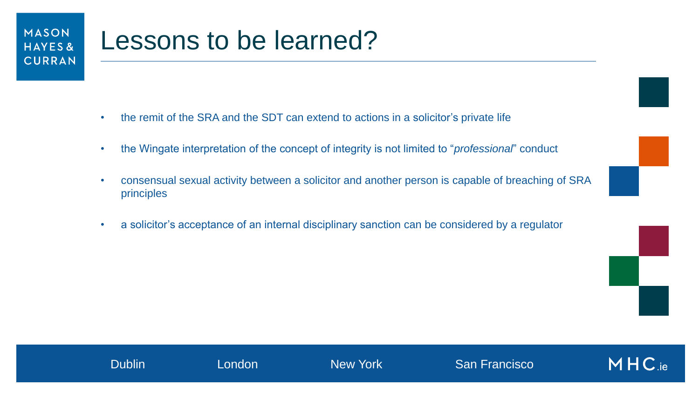### Lessons to be learned?

- the remit of the SRA and the SDT can extend to actions in a solicitor's private life
- the Wingate interpretation of the concept of integrity is not limited to "*professional*" conduct
- consensual sexual activity between a solicitor and another person is capable of breaching of SRA principles
- a solicitor's acceptance of an internal disciplinary sanction can be considered by a regulator



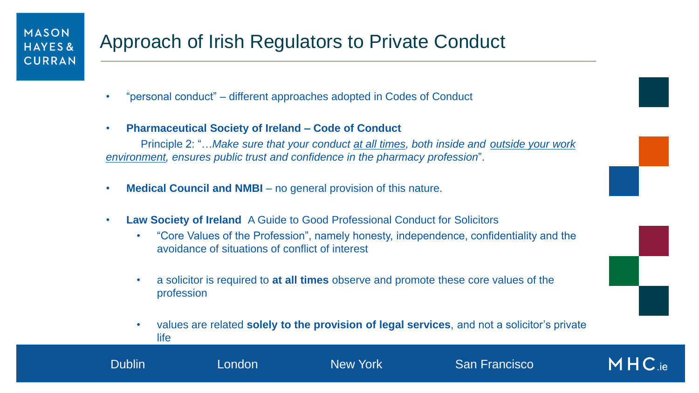- "personal conduct" different approaches adopted in Codes of Conduct
- **Pharmaceutical Society of Ireland – Code of Conduct**

Principle 2: "…*Make sure that your conduct at all times, both inside and outside your work environment, ensures public trust and confidence in the pharmacy profession*".

- **Medical Council and NMBI** no general provision of this nature.
- **Law Society of Ireland** A Guide to Good Professional Conduct for Solicitors
	- "Core Values of the Profession", namely honesty, independence, confidentiality and the avoidance of situations of conflict of interest
	- a solicitor is required to **at all times** observe and promote these core values of the profession

Dublin London New York San Francisco

• values are related **solely to the provision of legal services**, and not a solicitor's private life

 $MHC_{ie}$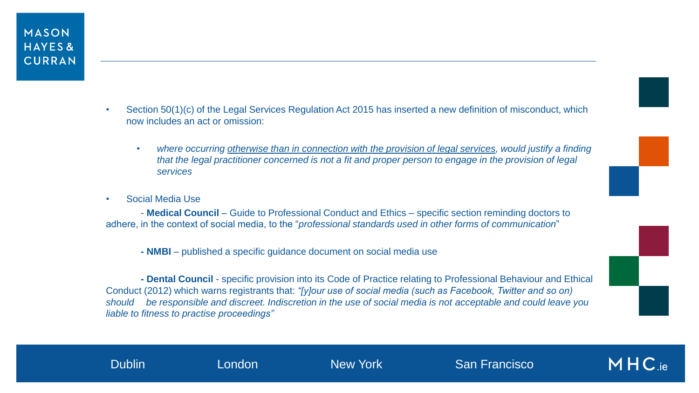- Section 50(1)(c) of the Legal Services Regulation Act 2015 has inserted a new definition of misconduct, which now includes an act or omission:
	- *where occurring otherwise than in connection with the provision of legal services, would justify a finding that the legal practitioner concerned is not a fit and proper person to engage in the provision of legal services*
- Social Media Use

- **Medical Council** – Guide to Professional Conduct and Ethics – specific section reminding doctors to adhere, in the context of social media, to the "*professional standards used in other forms of communication*"

**- NMBI** – published a specific guidance document on social media use

**- Dental Council** - specific provision into its Code of Practice relating to Professional Behaviour and Ethical Conduct (2012) which warns registrants that: *"[y]our use of social media (such as Facebook, Twitter and so on) should be responsible and discreet. Indiscretion in the use of social media is not acceptable and could leave you liable to fitness to practise proceedings"*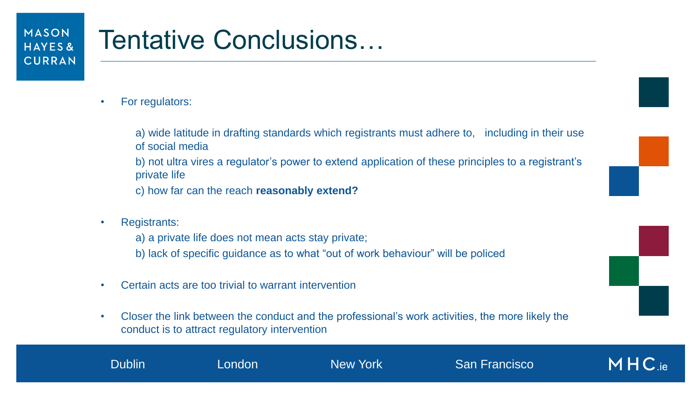## Tentative Conclusions…

- For regulators:
	- a) wide latitude in drafting standards which registrants must adhere to, including in their use of social media
	- b) not ultra vires a regulator's power to extend application of these principles to a registrant's private life
	- c) how far can the reach **reasonably extend?**
- Registrants:
	- a) a private life does not mean acts stay private;
	- b) lack of specific guidance as to what "out of work behaviour" will be policed
- Certain acts are too trivial to warrant intervention
- Closer the link between the conduct and the professional's work activities, the more likely the conduct is to attract regulatory intervention

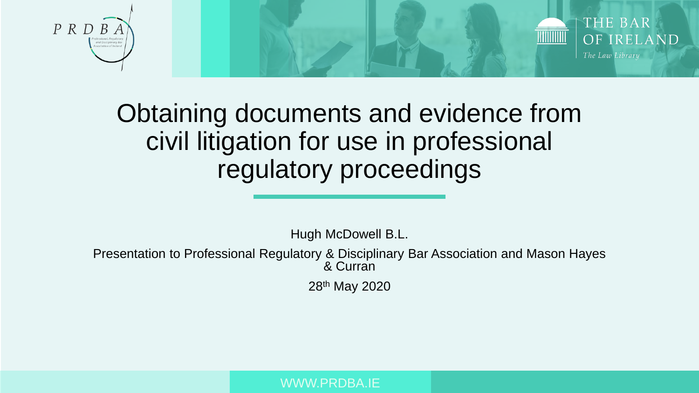



### Obtaining documents and evidence from civil litigation for use in professional regulatory proceedings

Hugh McDowell B.L.

Presentation to Professional Regulatory & Disciplinary Bar Association and Mason Hayes & Curran

28th May 2020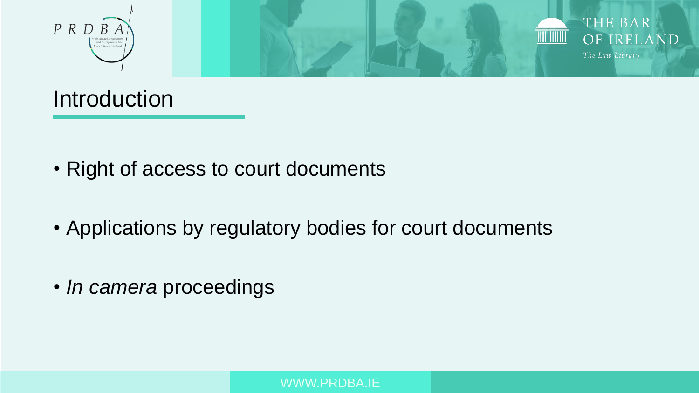



### Introduction

- Right of access to court documents
- Applications by regulatory bodies for court documents
- *In camera* proceedings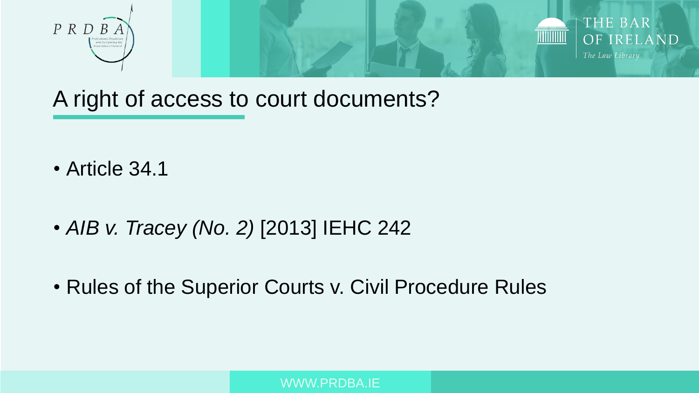



A right of access to court documents?

- Article 34.1
- *AIB v. Tracey (No. 2)* [2013] IEHC 242
- Rules of the Superior Courts v. Civil Procedure Rules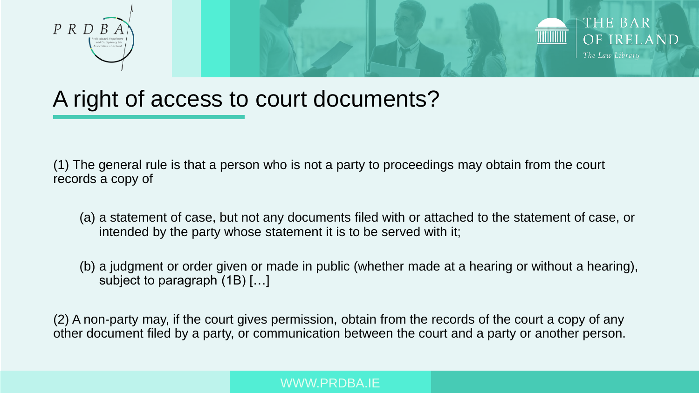



### A right of access to court documents?

(1) The general rule is that a person who is not a party to proceedings may obtain from the court records a copy of

- (a) a statement of case, but not any documents filed with or attached to the statement of case, or intended by the party whose statement it is to be served with it;
- (b) a judgment or order given or made in public (whether made at a hearing or without a hearing), subject to paragraph (1B) […]

(2) A non-party may, if the court gives permission, obtain from the records of the court a copy of any other document filed by a party, or communication between the court and a party or another person.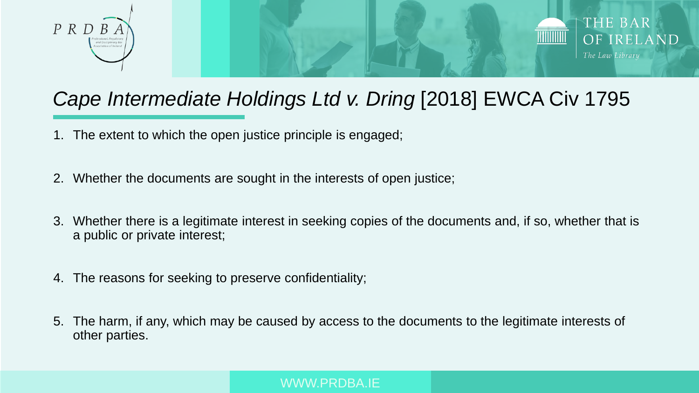



### *Cape Intermediate Holdings Ltd v. Dring* [2018] EWCA Civ 1795

- 1. The extent to which the open justice principle is engaged;
- 2. Whether the documents are sought in the interests of open justice;
- 3. Whether there is a legitimate interest in seeking copies of the documents and, if so, whether that is a public or private interest;
- 4. The reasons for seeking to preserve confidentiality;
- 5. The harm, if any, which may be caused by access to the documents to the legitimate interests of other parties.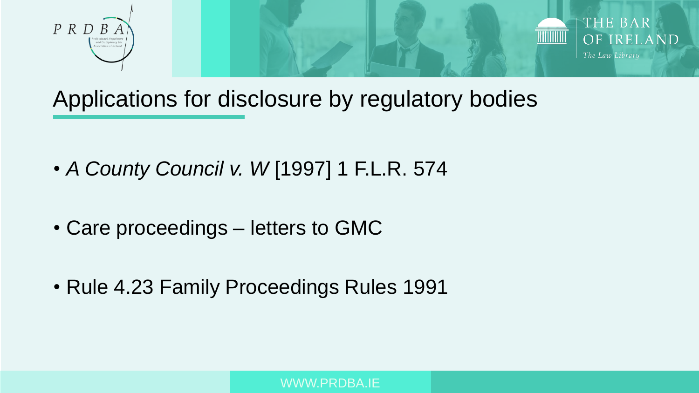



Applications for disclosure by regulatory bodies

- *A County Council v. W* [1997] 1 F.L.R. 574
- Care proceedings letters to GMC
- Rule 4.23 Family Proceedings Rules 1991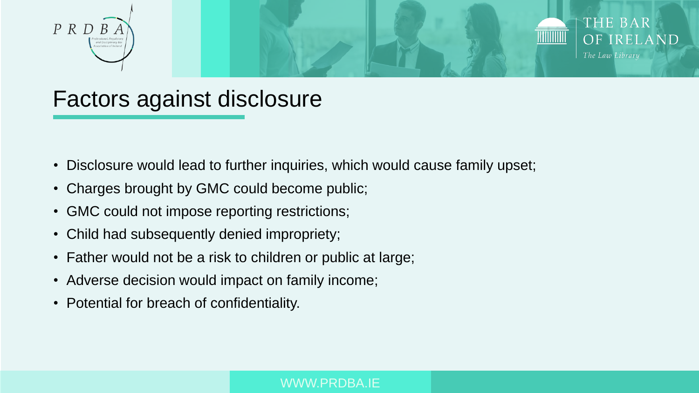



### Factors against disclosure

- Disclosure would lead to further inquiries, which would cause family upset;
- Charges brought by GMC could become public;
- GMC could not impose reporting restrictions;
- Child had subsequently denied impropriety;
- Father would not be a risk to children or public at large;
- Adverse decision would impact on family income;
- Potential for breach of confidentiality.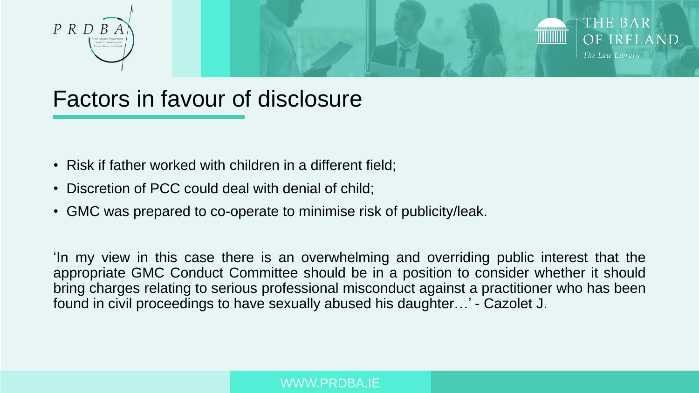



### Factors in favour of disclosure

- Risk if father worked with children in a different field;
- Discretion of PCC could deal with denial of child;
- GMC was prepared to co-operate to minimise risk of publicity/leak.

'In my view in this case there is an overwhelming and overriding public interest that the appropriate GMC Conduct Committee should be in a position to consider whether it should bring charges relating to serious professional misconduct against a practitioner who has been found in civil proceedings to have sexually abused his daughter…' - Cazolet J.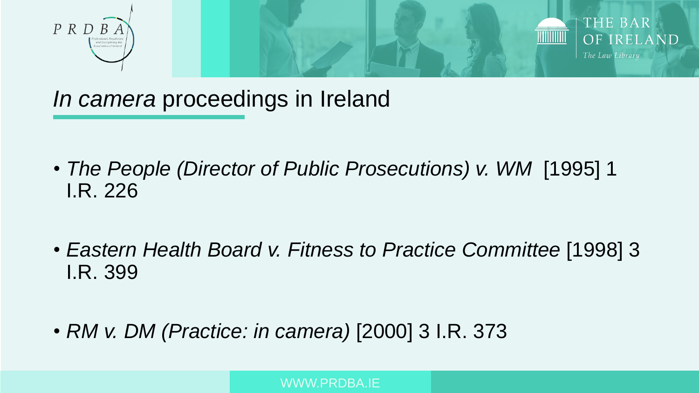



*In camera* proceedings in Ireland

- *The People (Director of Public Prosecutions) v. WM* [1995] 1 I.R. 226
- *Eastern Health Board v. Fitness to Practice Committee* [1998] 3 I.R. 399
- *RM v. DM (Practice: in camera)* [2000] 3 I.R. 373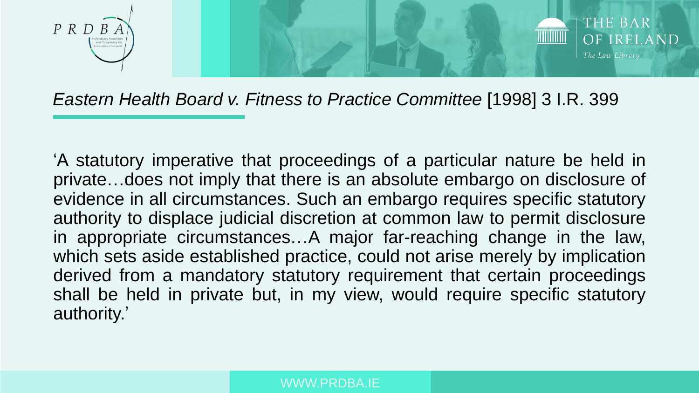



#### *Eastern Health Board v. Fitness to Practice Committee* [1998] 3 I.R. 399

'A statutory imperative that proceedings of a particular nature be held in private…does not imply that there is an absolute embargo on disclosure of evidence in all circumstances. Such an embargo requires specific statutory authority to displace judicial discretion at common law to permit disclosure in appropriate circumstances…A major far-reaching change in the law, which sets aside established practice, could not arise merely by implication derived from a mandatory statutory requirement that certain proceedings shall be held in private but, in my view, would require specific statutory authority.'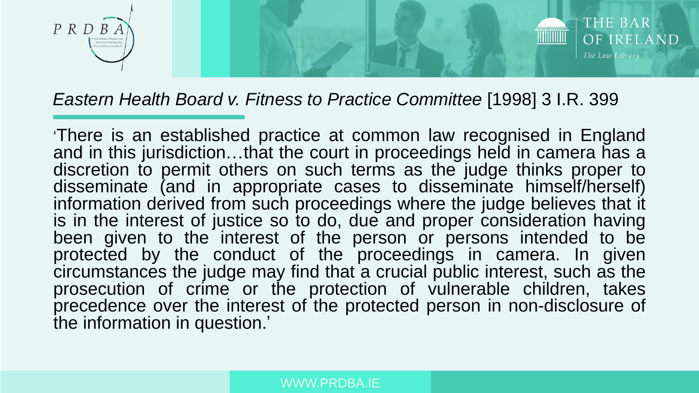



#### *Eastern Health Board v. Fitness to Practice Committee* [1998] 3 I.R. 399

'There is an established practice at common law recognised in England and in this jurisdiction…that the court in proceedings held in camera has a discretion to permit others on such terms as the judge thinks proper to disseminate (and in appropriate cases to disseminate himself/herself) information derived from such proceedings where the judge believes that it is in the interest of justice so to do, due and proper consideration having been given to the interest of the person or persons intended to be protected by the conduct of the proceedings in camera. In given circumstances the judge may find that a crucial public interest, such as the prosecution of crime or the protection of vulnerable children, takes precedence over the interest of the protected person in non-disclosure of the information in question.'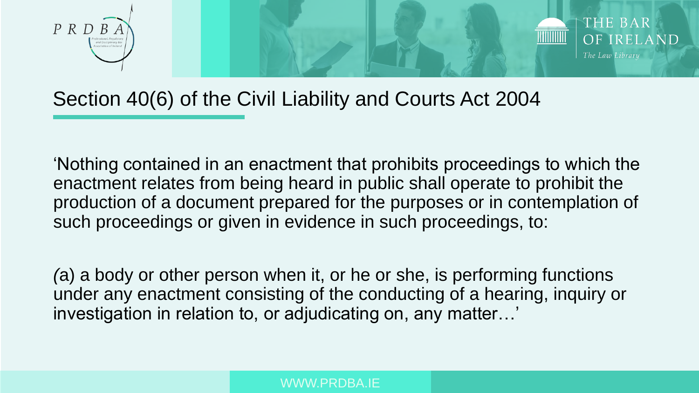



### Section 40(6) of the Civil Liability and Courts Act 2004

'Nothing contained in an enactment that prohibits proceedings to which the enactment relates from being heard in public shall operate to prohibit the production of a document prepared for the purposes or in contemplation of such proceedings or given in evidence in such proceedings, to:

*(*a) a body or other person when it, or he or she, is performing functions under any enactment consisting of the conducting of a hearing, inquiry or investigation in relation to, or adjudicating on, any matter…'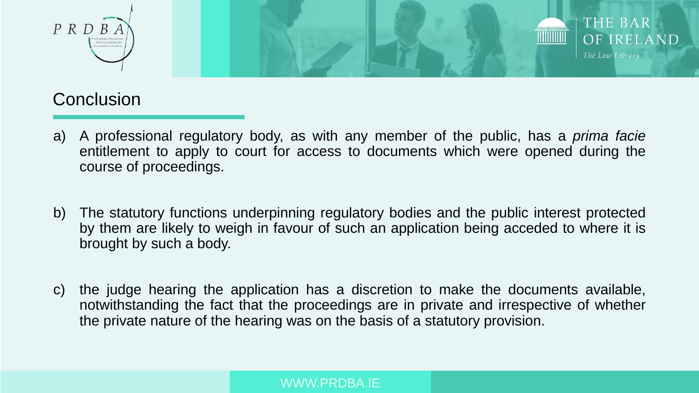



### **Conclusion**

- a) A professional regulatory body, as with any member of the public, has a *prima facie* entitlement to apply to court for access to documents which were opened during the course of proceedings.
- b) The statutory functions underpinning regulatory bodies and the public interest protected by them are likely to weigh in favour of such an application being acceded to where it is brought by such a body.
- c) the judge hearing the application has a discretion to make the documents available, notwithstanding the fact that the proceedings are in private and irrespective of whether the private nature of the hearing was on the basis of a statutory provision.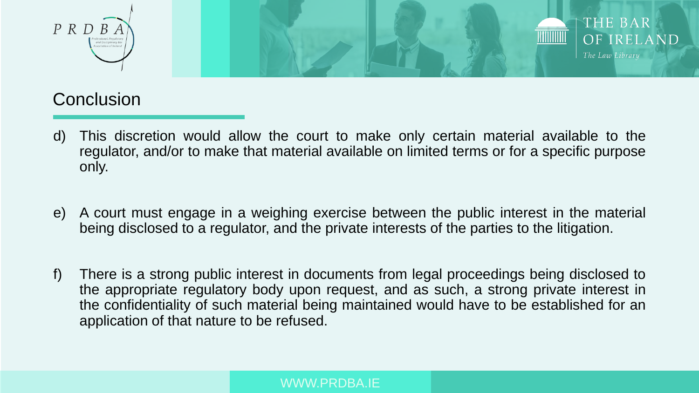



### **Conclusion**

- d) This discretion would allow the court to make only certain material available to the regulator, and/or to make that material available on limited terms or for a specific purpose only.
- e) A court must engage in a weighing exercise between the public interest in the material being disclosed to a regulator, and the private interests of the parties to the litigation.
- f) There is a strong public interest in documents from legal proceedings being disclosed to the appropriate regulatory body upon request, and as such, a strong private interest in the confidentiality of such material being maintained would have to be established for an application of that nature to be refused.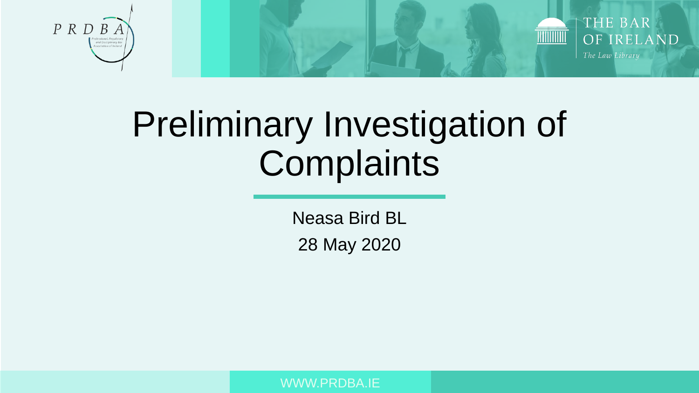



# Preliminary Investigation of **Complaints**

Neasa Bird BL 28 May 2020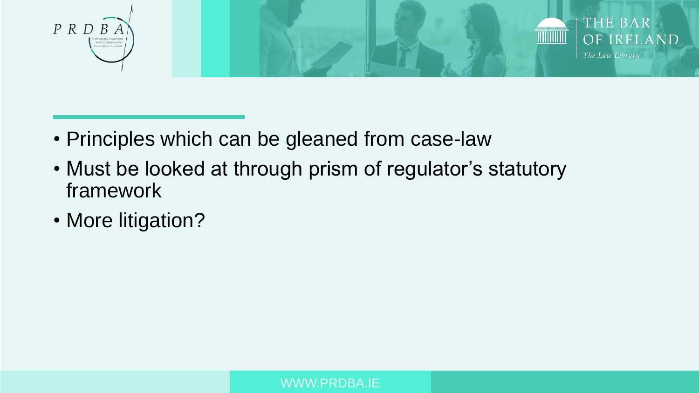



- Principles which can be gleaned from case-law
- Must be looked at through prism of regulator's statutory framework
- More litigation?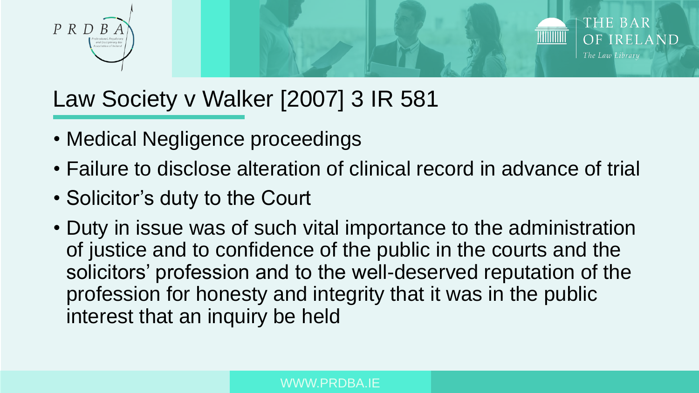



### Law Society v Walker [2007] 3 IR 581

- Medical Negligence proceedings
- Failure to disclose alteration of clinical record in advance of trial
- Solicitor's duty to the Court
- Duty in issue was of such vital importance to the administration of justice and to confidence of the public in the courts and the solicitors' profession and to the well-deserved reputation of the profession for honesty and integrity that it was in the public interest that an inquiry be held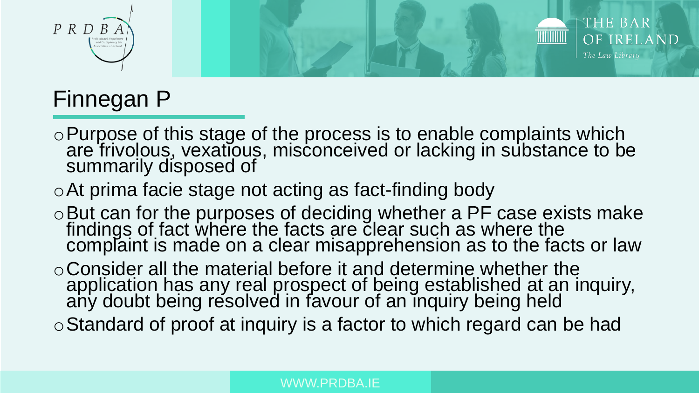



### Finnegan P

- oPurpose of this stage of the process is to enable complaints which are frivolous, vexatious, misconceived or lacking in substance to be summarily disposed of
- oAt prima facie stage not acting as fact-finding body
- oBut can for the purposes of deciding whether a PF case exists make findings of fact where the facts are clear such as where the complaint is made on a clear misapprehension as to the facts or law
- oConsider all the material before it and determine whether the application has any real prospect of being established at an inquiry, any doubt being resolved in favour of an inquiry being held
- oStandard of proof at inquiry is a factor to which regard can be had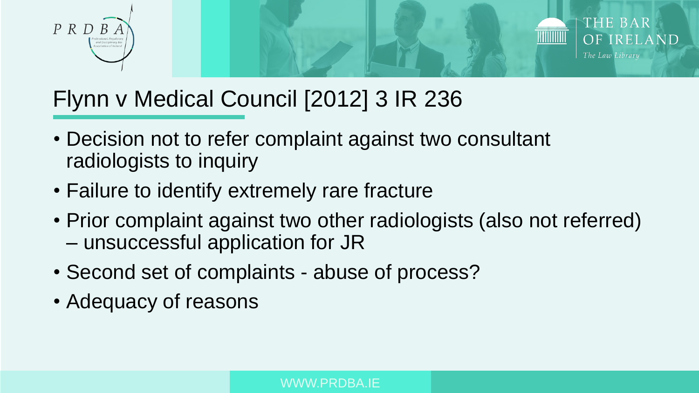



### Flynn v Medical Council [2012] 3 IR 236

- Decision not to refer complaint against two consultant radiologists to inquiry
- Failure to identify extremely rare fracture
- Prior complaint against two other radiologists (also not referred) – unsuccessful application for JR
- Second set of complaints abuse of process?
- Adequacy of reasons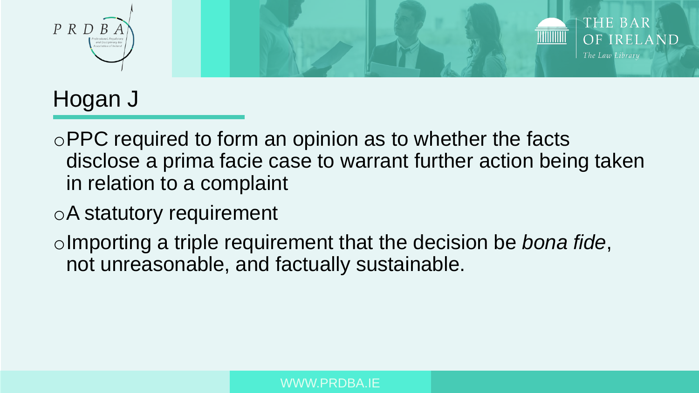



### Hogan J

- oPPC required to form an opinion as to whether the facts disclose a prima facie case to warrant further action being taken in relation to a complaint
- oA statutory requirement
- oImporting a triple requirement that the decision be *bona fide*, not unreasonable, and factually sustainable.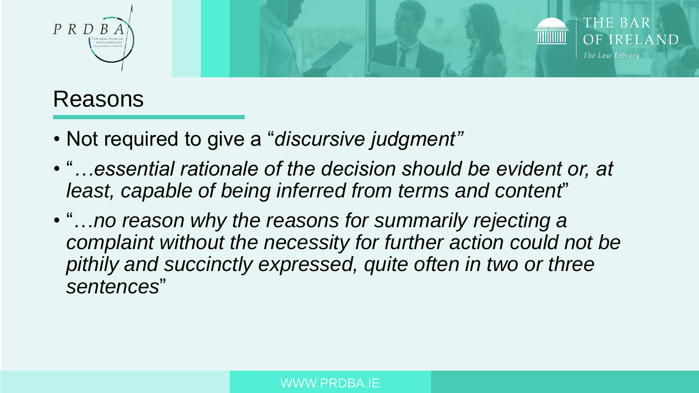



### Reasons

- Not required to give a "*discursive judgment"*
- "*…essential rationale of the decision should be evident or, at least, capable of being inferred from terms and content*"
- "…*no reason why the reasons for summarily rejecting a complaint without the necessity for further action could not be pithily and succinctly expressed, quite often in two or three sentences*"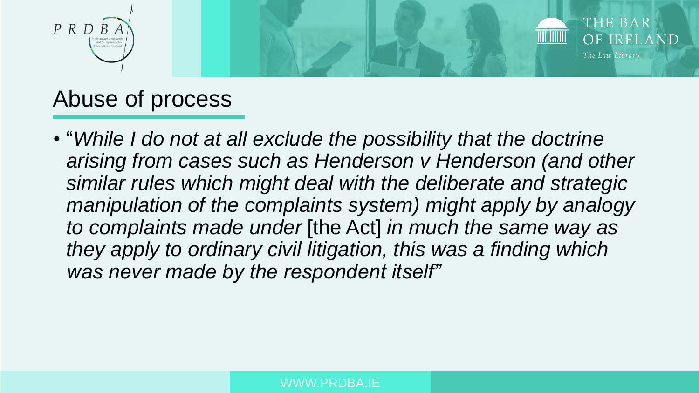

### Abuse of process

• "*While I do not at all exclude the possibility that the doctrine arising from cases such as Henderson v Henderson (and other similar rules which might deal with the deliberate and strategic manipulation of the complaints system) might apply by analogy to complaints made under* [the Act] *in much the same way as they apply to ordinary civil litigation, this was a finding which was never made by the respondent itself"*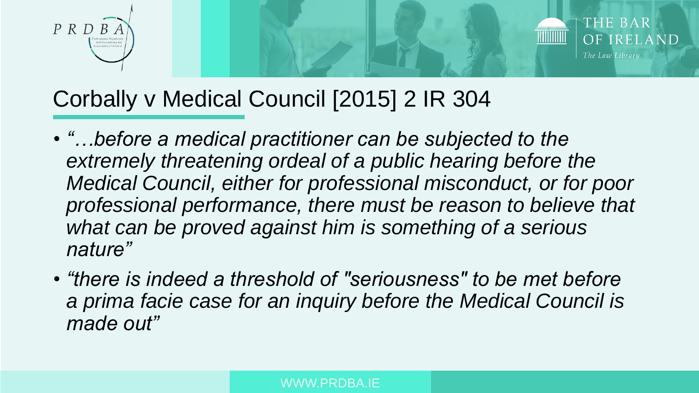



### Corbally v Medical Council [2015] 2 IR 304

- *"…before a medical practitioner can be subjected to the extremely threatening ordeal of a public hearing before the Medical Council, either for professional misconduct, or for poor professional performance, there must be reason to believe that what can be proved against him is something of a serious nature"*
- *"there is indeed a threshold of "seriousness" to be met before a prima facie case for an inquiry before the Medical Council is made out"*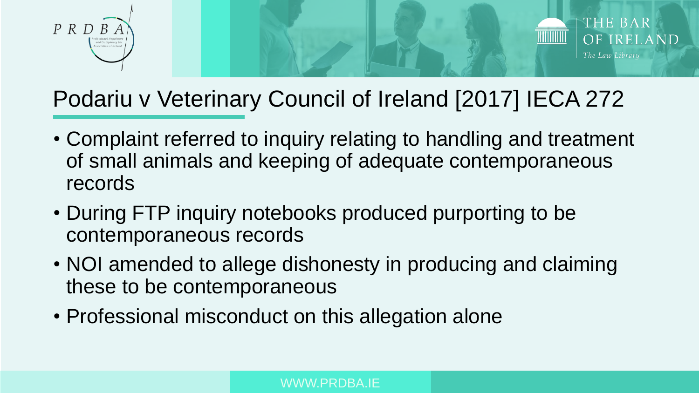



### Podariu v Veterinary Council of Ireland [2017] IECA 272

- Complaint referred to inquiry relating to handling and treatment of small animals and keeping of adequate contemporaneous records
- During FTP inquiry notebooks produced purporting to be contemporaneous records
- NOI amended to allege dishonesty in producing and claiming these to be contemporaneous
- Professional misconduct on this allegation alone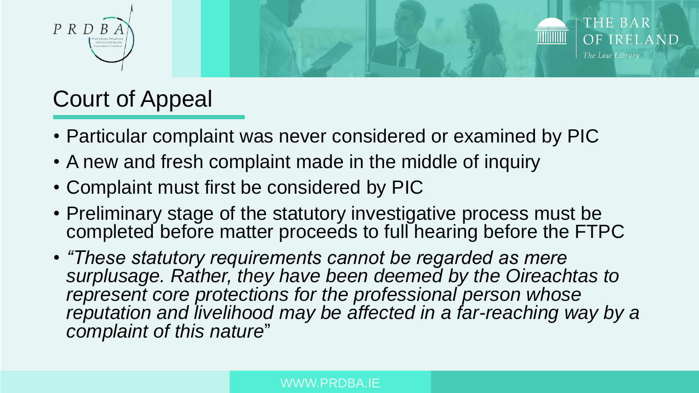



### Court of Appeal

- Particular complaint was never considered or examined by PIC
- A new and fresh complaint made in the middle of inquiry
- Complaint must first be considered by PIC
- Preliminary stage of the statutory investigative process must be completed before matter proceeds to full hearing before the FTPC
- *"These statutory requirements cannot be regarded as mere surplusage. Rather, they have been deemed by the Oireachtas to represent core protections for the professional person whose reputation and livelihood may be affected in a far-reaching way by a complaint of this nature*"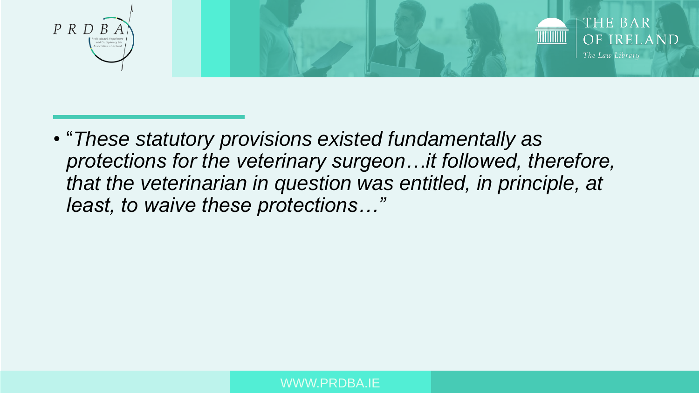



• "*These statutory provisions existed fundamentally as protections for the veterinary surgeon…it followed, therefore, that the veterinarian in question was entitled, in principle, at least, to waive these protections…"*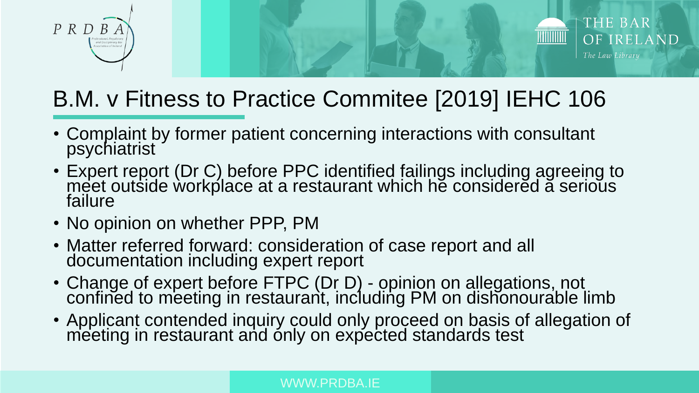



### B.M. v Fitness to Practice Commitee [2019] IEHC 106

- Complaint by former patient concerning interactions with consultant psychiatrist
- Expert report (Dr C) before PPC identified failings including agreeing to meet outside workplace at a restaurant which he considered a serious failure
- No opinion on whether PPP, PM
- Matter referred forward: consideration of case report and all documentation including expert report
- Change of expert before FTPC (Dr D) opinion on allegations, not confined to meeting in restaurant, including PM on dishonourable limb
- Applicant contended inquiry could only proceed on basis of allegation of meeting in restaurant and only on expected standards test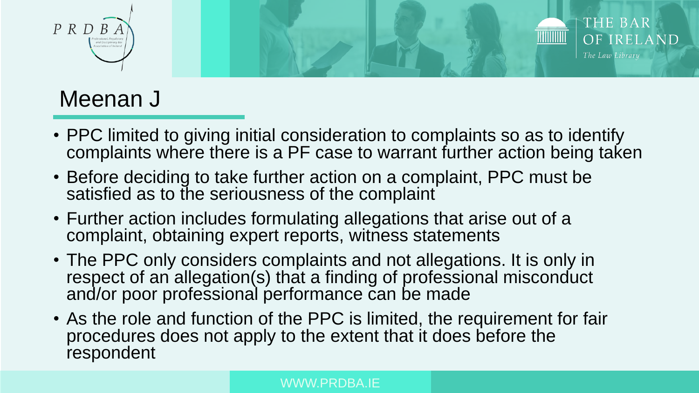

### Meenan J

- PPC limited to giving initial consideration to complaints so as to identify complaints where there is a PF case to warrant further action being taken
- Before deciding to take further action on a complaint, PPC must be satisfied as to the seriousness of the complaint
- Further action includes formulating allegations that arise out of a complaint, obtaining expert reports, witness statements
- The PPC only considers complaints and not allegations. It is only in respect of an allegation(s) that a finding of professional misconduct and/or poor professional performance can be made
- As the role and function of the PPC is limited, the requirement for fair procedures does not apply to the extent that it does before the respondent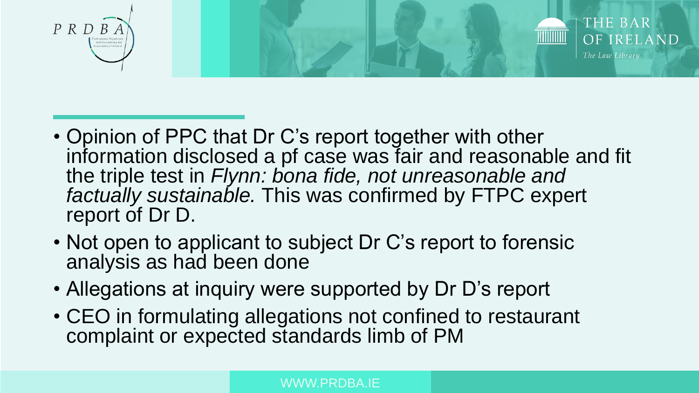



- Opinion of PPC that Dr C's report together with other information disclosed a pf case was fair and reasonable and fit the triple test in *Flynn: bona fide, not unreasonable and factually sustainable.* This was confirmed by FTPC expert report of Dr D.
- Not open to applicant to subject Dr C's report to forensic analysis as had been done
- Allegations at inquiry were supported by Dr D's report
- CEO in formulating allegations not confined to restaurant complaint or expected standards limb of PM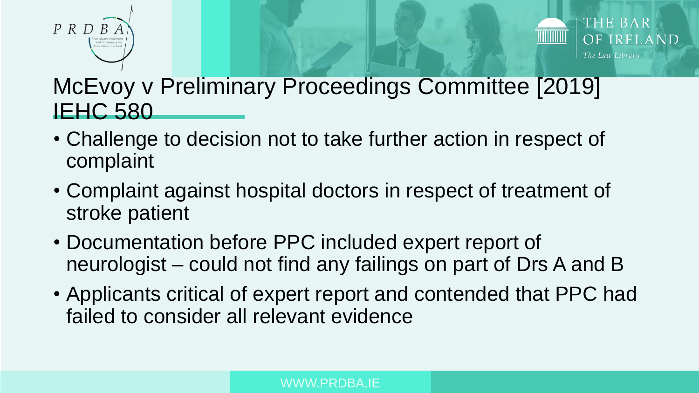



### McEvoy v Preliminary Proceedings Committee [2019] **IEHC 580**

- Challenge to decision not to take further action in respect of complaint
- Complaint against hospital doctors in respect of treatment of stroke patient
- Documentation before PPC included expert report of neurologist – could not find any failings on part of Drs A and B
- Applicants critical of expert report and contended that PPC had failed to consider all relevant evidence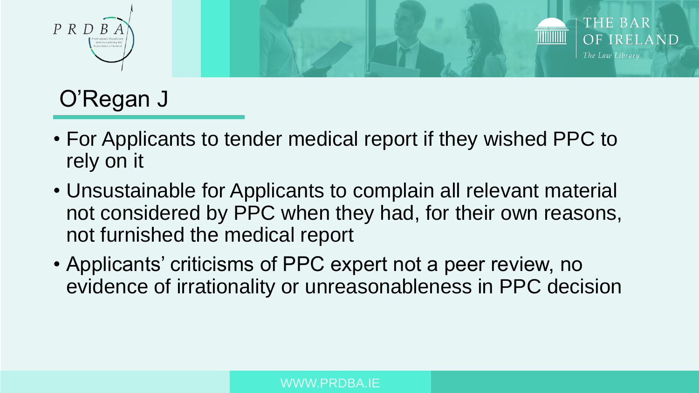

## O'Regan J

- For Applicants to tender medical report if they wished PPC to rely on it
- Unsustainable for Applicants to complain all relevant material not considered by PPC when they had, for their own reasons, not furnished the medical report
- Applicants' criticisms of PPC expert not a peer review, no evidence of irrationality or unreasonableness in PPC decision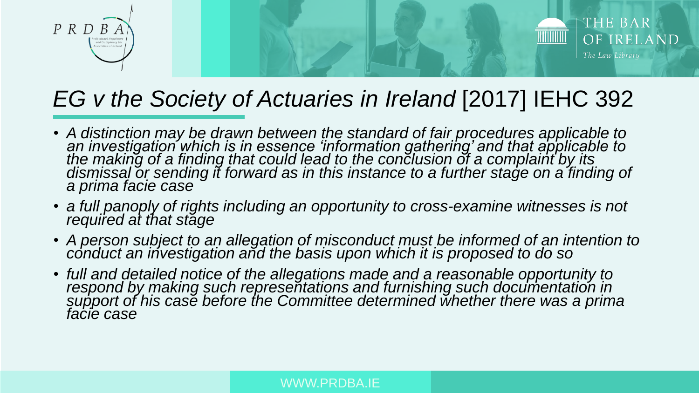



### *EG v the Society of Actuaries in Ireland* [2017] IEHC 392

- A distinction may be drawn between the standard of fair procedures applicable to *an investigation which is in essence 'information gathering' and that applicable to the making of a finding that could lead to the conclusion of a complaint by its*  dismissal or sending it forward as in this instance to a further stage on a finding of *a prima facie case*
- *a full panoply of rights including an opportunity to cross-examine witnesses is not required at that stage*
- A person subject to an allegation of misconduct must be informed of an intention to *conduct an investigation and the basis upon which it is proposed to do so*
- *full and detailed notice of the allegations made and a reasonable opportunity to*  respond by making such representations and furnishing such documentation in *support of his case before the Committee determined whether there was a prima facie case*